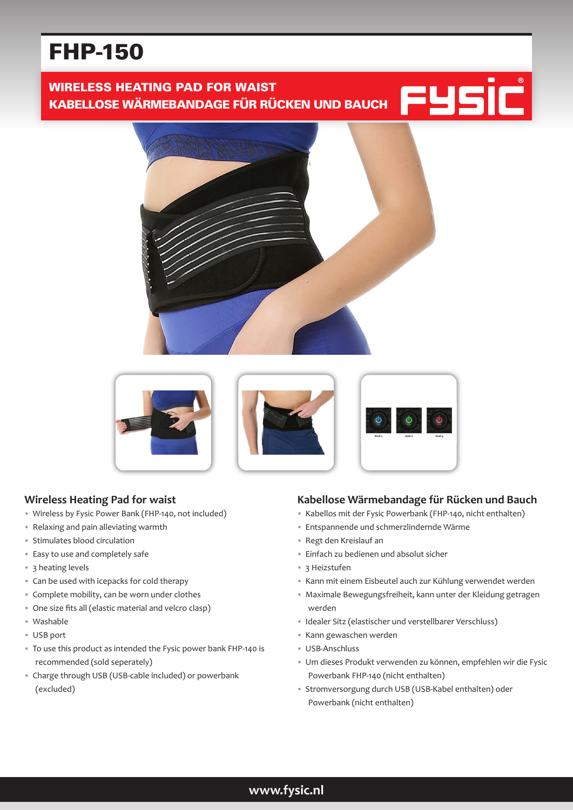# FHP-150

WIRELESS HEATING PAD FOR WAIST KABELLOSE WÄRMEBANDAGE FÜR RÜCKEN UND BAUCH







## **Wireless Heating Pad for waist**

- Wireless by Fysic Power Bank (FHP-140, not included)
- Relaxing and pain alleviating warmth
- Stimulates blood circulation
- Easy to use and completely safe
- 3 heating levels
- Can be used with icepacks for cold therapy
- Complete mobility, can be worn under clothes
- One size fits all (elastic material and velcro clasp)
- Washable
- USB port
- To use this product as intended the Fysic power bank FHP-140 is recommended (sold seperately)
- Charge through USB (USB-cable included) or powerbank (excluded)

#### **Kabellose Wärmebandage für Rücken und Bauch**

- Kabellos mit der Fysic Powerbank (FHP-140, nicht enthalten)
- Entspannende und schmerzlindernde Wärme
- Regt den Kreislauf an
- Einfach zu bedienen und absolut sicher
- 3 Heizstufen
- Kann mit einem Eisbeutel auch zur Kühlung verwendet werden
- Maximale Bewegungsfreiheit, kann unter der Kleidung getragen werden
- Idealer Sitz (elastischer und verstellbarer Verschluss)
- Kann gewaschen werden
- USB-Anschluss
- Um dieses Produkt verwenden zu können, empfehlen wir die Fysic Powerbank FHP-140 (nicht enthalten)
- Stromversorgung durch USB (USB-Kabel enthalten) oder Powerbank (nicht enthalten)

## **www.fysic.nl**